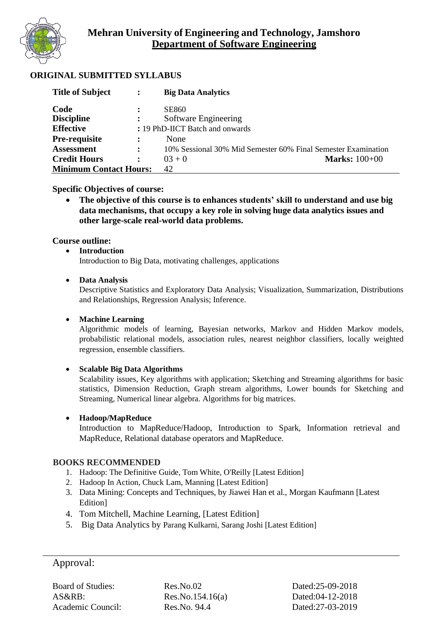

## **ORIGINAL SUBMITTED SYLLABUS**

| <b>Title of Subject</b>       | $\ddot{\cdot}$ | <b>Big Data Analytics</b>                                     |
|-------------------------------|----------------|---------------------------------------------------------------|
| Code                          |                | <b>SE860</b>                                                  |
| <b>Discipline</b>             | $\ddot{\cdot}$ | Software Engineering                                          |
| <b>Effective</b>              |                | : 19 PhD-IICT Batch and onwards                               |
| <b>Pre-requisite</b>          | $\ddot{\cdot}$ | None                                                          |
| <b>Assessment</b>             | $\ddot{\cdot}$ | 10% Sessional 30% Mid Semester 60% Final Semester Examination |
| <b>Credit Hours</b>           | $\ddot{\cdot}$ | <b>Marks:</b> 100+00<br>$03 + 0$                              |
| <b>Minimum Contact Hours:</b> |                | 42                                                            |

**Specific Objectives of course:**

• **The objective of this course is to enhances students' skill to understand and use big data mechanisms, that occupy a key role in solving huge data analytics issues and other large-scale real-world data problems.**

### **Course outline:**

#### • **Introduction**

Introduction to Big Data, motivating challenges, applications

#### • **Data Analysis**

Descriptive Statistics and Exploratory Data Analysis; Visualization, Summarization, Distributions and Relationships, Regression Analysis; Inference.

#### • **Machine Learning**

Algorithmic models of learning, Bayesian networks, Markov and Hidden Markov models, probabilistic relational models, association rules, nearest neighbor classifiers, locally weighted regression, ensemble classifiers.

#### • **Scalable Big Data Algorithms**

Scalability issues, Key algorithms with application; Sketching and Streaming algorithms for basic statistics, Dimension Reduction, Graph stream algorithms, Lower bounds for Sketching and Streaming, Numerical linear algebra. Algorithms for big matrices.

#### • **Hadoop/MapReduce**

Introduction to MapReduce/Hadoop, Introduction to Spark, Information retrieval and MapReduce, Relational database operators and MapReduce.

#### **BOOKS RECOMMENDED**

- 1. Hadoop: The Definitive Guide, Tom White, O'Reilly [Latest Edition]
- 2. Hadoop In Action, Chuck Lam, Manning [Latest Edition]
- 3. Data Mining: Concepts and Techniques, by Jiawei Han et al., Morgan Kaufmann [Latest Edition]
- 4. Tom Mitchell, Machine Learning, [Latest Edition]
- 5. Big Data Analytics by Parang Kulkarni, Sarang Joshi [Latest Edition]

# Approval:

Board of Studies: Res.No.02 Dated:25-09-2018 AS&RB: Res.No.154.16(a) Dated:04-12-2018 Academic Council: Res.No. 94.4 Dated:27-03-2019